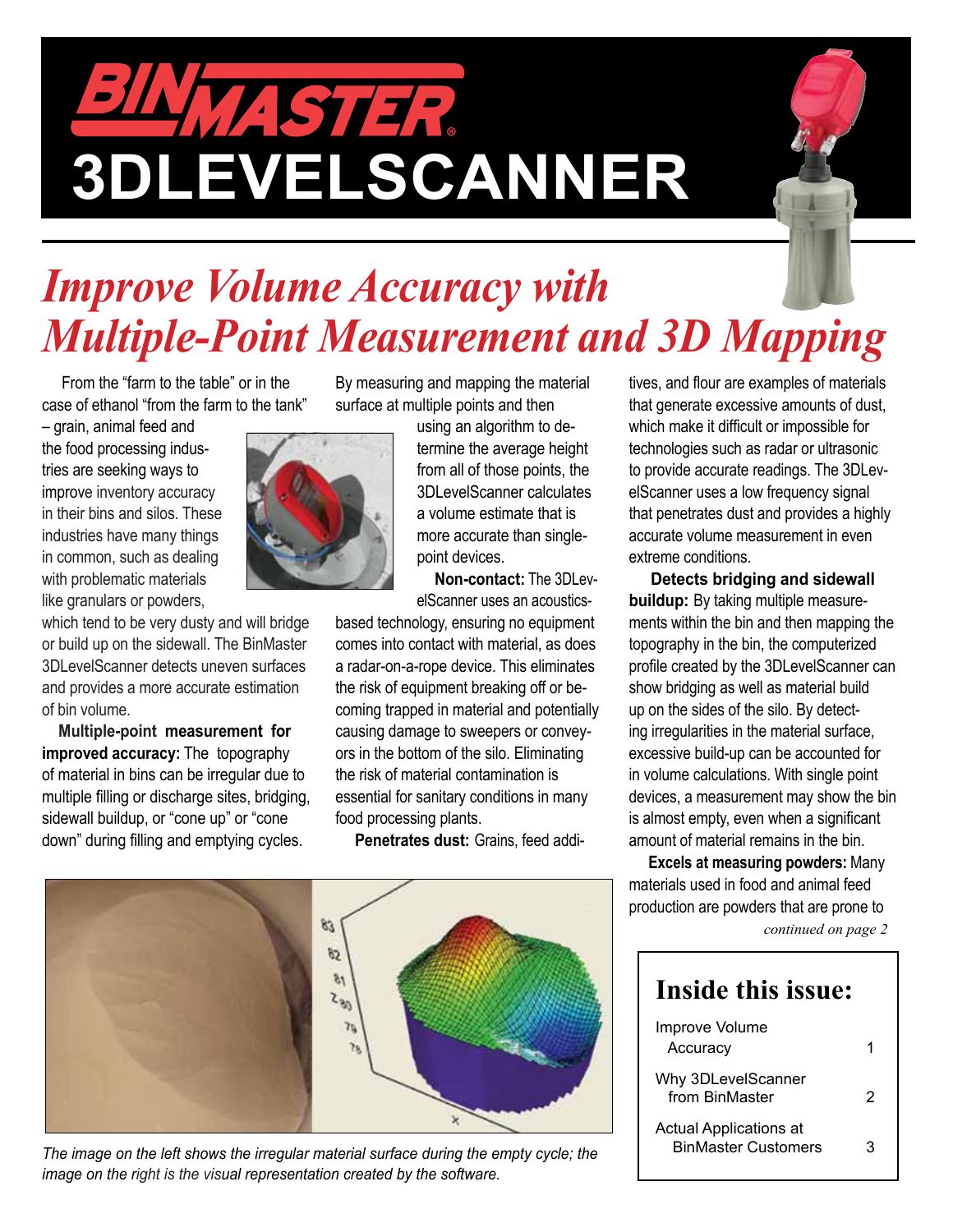# JINNA STER. **3DLEVELSCANNER**

# *Improve Volume Accuracy with Multiple-Point Measurement and 3D Mapping*

 From the "farm to the table" or in the case of ethanol "from the farm to the tank"

– grain, animal feed and the food processing industries are seeking ways to improve inventory accuracy in their bins and silos. These industries have many things in common, such as dealing with problematic materials like granulars or powders,

which tend to be very dusty and will bridge or build up on the sidewall. The BinMaster 3DLevelScanner detects uneven surfaces and provides a more accurate estimation of bin volume.

 **Multiple-point measurement for improved accuracy:** The topography of material in bins can be irregular due to multiple filling or discharge sites, bridging, sidewall buildup, or "cone up" or "cone down" during filling and emptying cycles.

By measuring and mapping the material surface at multiple points and then

> using an algorithm to determine the average height from all of those points, the 3DLevelScanner calculates a volume estimate that is more accurate than singlepoint devices.

 **Non-contact:** The 3DLevelScanner uses an acoustics-

based technology, ensuring no equipment comes into contact with material, as does a radar-on-a-rope device. This eliminates the risk of equipment breaking off or becoming trapped in material and potentially causing damage to sweepers or conveyors in the bottom of the silo. Eliminating the risk of material contamination is essential for sanitary conditions in many food processing plants.

**Penetrates dust:** Grains, feed addi-



The image on the left shows the irregular material surface during the empty cycle; the *image on the right is the visual representation created by the software.*

tives, and flour are examples of materials that generate excessive amounts of dust, which make it difficult or impossible for technologies such as radar or ultrasonic to provide accurate readings. The 3DLevelScanner uses a low frequency signal that penetrates dust and provides a highly accurate volume measurement in even extreme conditions.

 **Detects bridging and sidewall buildup:** By taking multiple measurements within the bin and then mapping the topography in the bin, the computerized profile created by the 3DLevelScanner can show bridging as well as material build up on the sides of the silo. By detecting irregularities in the material surface, excessive build-up can be accounted for in volume calculations. With single point devices, a measurement may show the bin is almost empty, even when a significant amount of material remains in the bin.

 **Excels at measuring powders:** Many materials used in food and animal feed production are powders that are prone to

*continued on page 2*

#### **Inside this issue:**

| Improve Volume<br>Accuracy                                  |    |
|-------------------------------------------------------------|----|
| Why 3DLevelScanner<br>from BinMaster                        | 2  |
| <b>Actual Applications at</b><br><b>BinMaster Customers</b> | ′≺ |

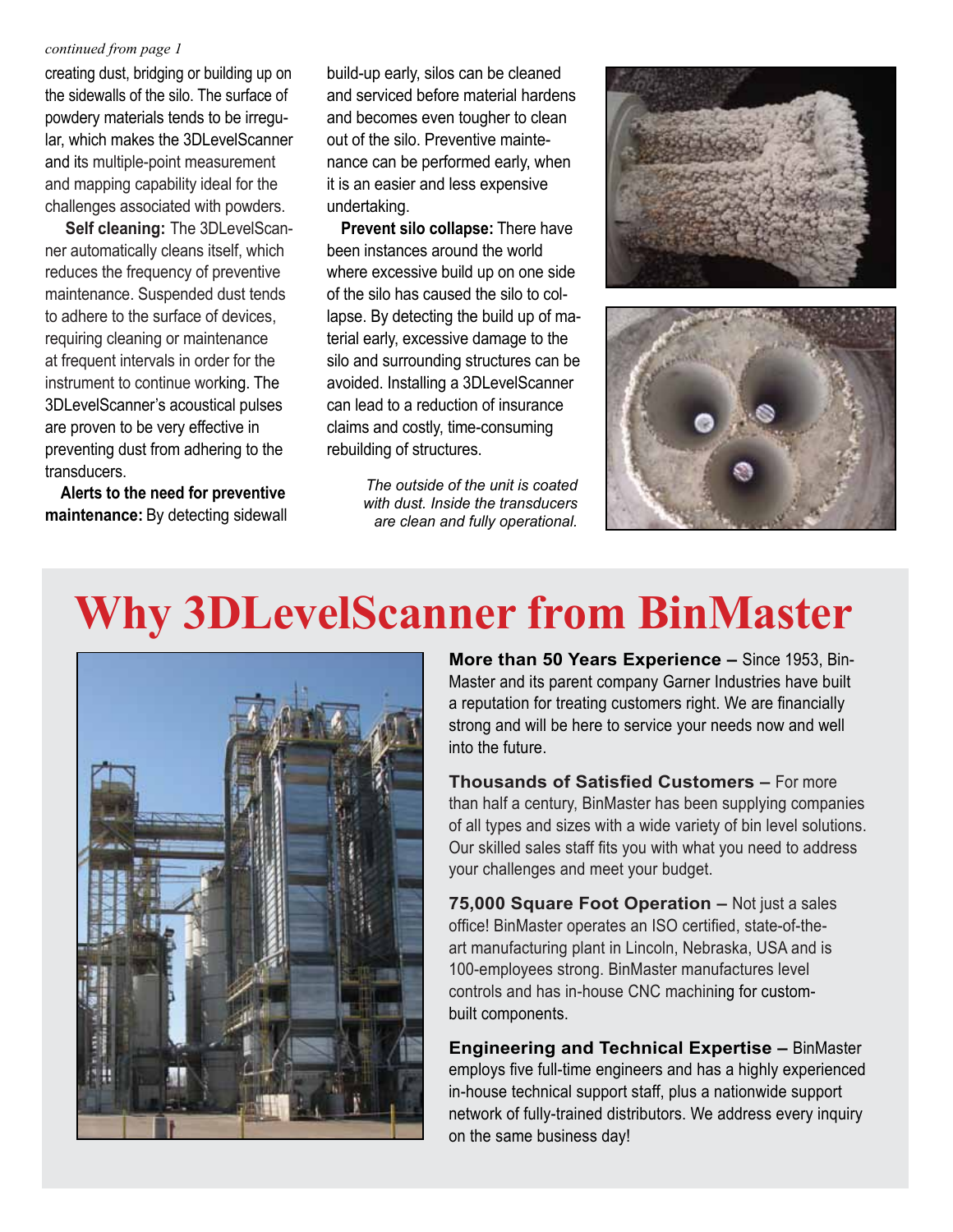#### *continued from page 1*

creating dust, bridging or building up on the sidewalls of the silo. The surface of powdery materials tends to be irregular, which makes the 3DLevelScanner and its multiple-point measurement and mapping capability ideal for the challenges associated with powders.

 **Self cleaning:** The 3DLevelScanner automatically cleans itself, which reduces the frequency of preventive maintenance. Suspended dust tends to adhere to the surface of devices, requiring cleaning or maintenance at frequent intervals in order for the instrument to continue working. The 3DLevelScanner's acoustical pulses are proven to be very effective in preventing dust from adhering to the transducers.

 **Alerts to the need for preventive maintenance:** By detecting sidewall build-up early, silos can be cleaned and serviced before material hardens and becomes even tougher to clean out of the silo. Preventive maintenance can be performed early, when it is an easier and less expensive undertaking.

 **Prevent silo collapse:** There have been instances around the world where excessive build up on one side of the silo has caused the silo to collapse. By detecting the build up of material early, excessive damage to the silo and surrounding structures can be avoided. Installing a 3DLevelScanner can lead to a reduction of insurance claims and costly, time-consuming rebuilding of structures.

> *The outside of the unit is coated with dust. Inside the transducers are clean and fully operational.*





## **Why 3DLevelScanner from BinMaster**



**More than 50 Years Experience –** Since 1953, Bin-Master and its parent company Garner Industries have built a reputation for treating customers right. We are financially strong and will be here to service your needs now and well into the future.

**Thousands of Satisfied Customers –** For more than half a century, BinMaster has been supplying companies of all types and sizes with a wide variety of bin level solutions. Our skilled sales staff fits you with what you need to address your challenges and meet your budget.

**75,000 Square Foot Operation –** Not just a sales office! BinMaster operates an ISO certified, state-of-theart manufacturing plant in Lincoln, Nebraska, USA and is 100-employees strong. BinMaster manufactures level controls and has in-house CNC machining for custombuilt components.

**Engineering and Technical Expertise –** BinMaster employs five full-time engineers and has a highly experienced in-house technical support staff, plus a nationwide support network of fully-trained distributors. We address every inquiry on the same business day!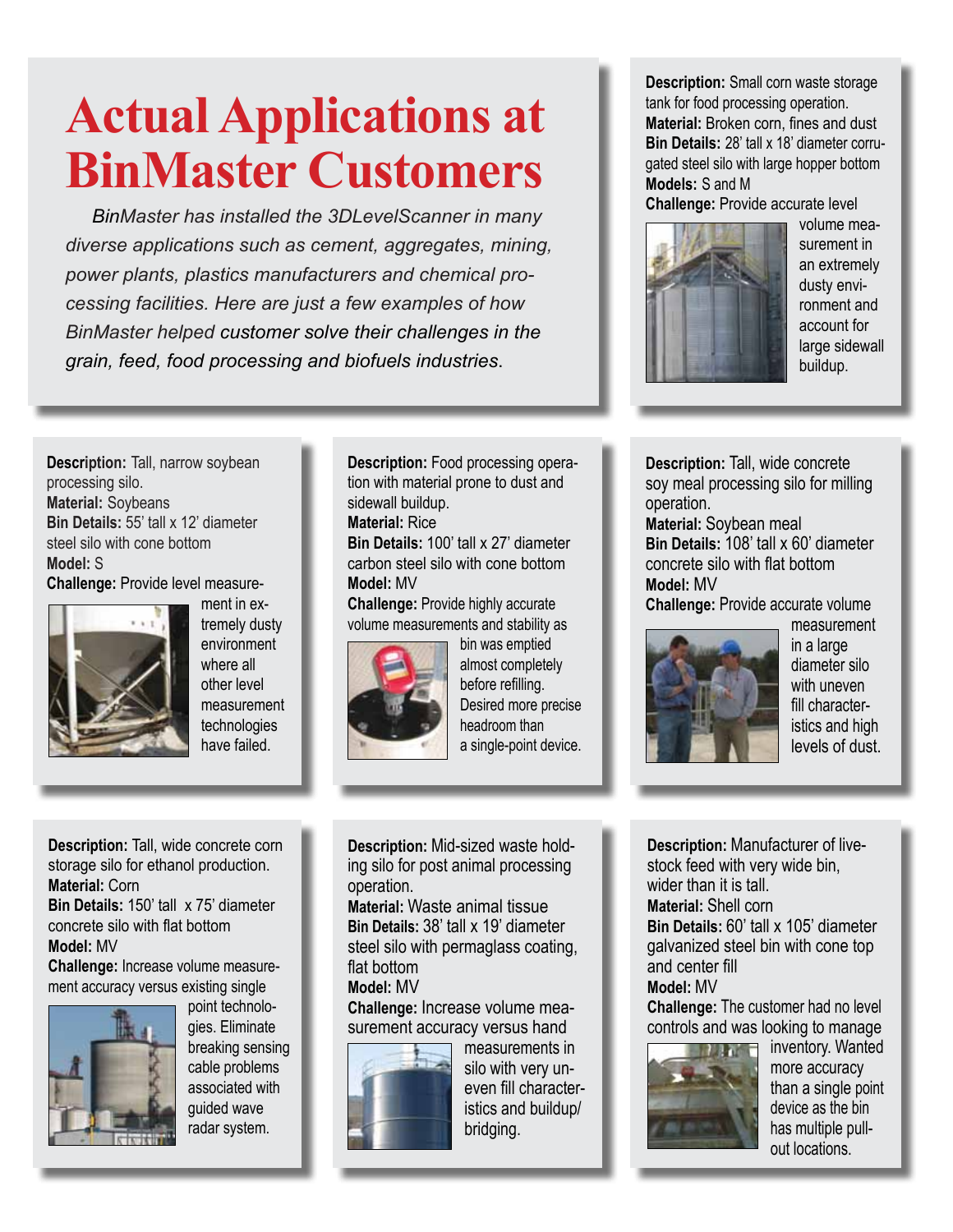# **Actual Applications at BinMaster Customers**

 *BinMaster has installed the 3DLevelScanner in many diverse applications such as cement, aggregates, mining, power plants, plastics manufacturers and chemical processing facilities. Here are just a few examples of how BinMaster helped customer solve their challenges in the grain, feed, food processing and biofuels industries*.

**Description:** Small corn waste storage tank for food processing operation. **Material:** Broken corn, fines and dust **Bin Details:** 28' tall x 18' diameter corrugated steel silo with large hopper bottom **Models:** S and M

**Challenge:** Provide accurate level



volume measurement in an extremely dusty environment and account for large sidewall buildup.

**Description:** Tall, narrow soybean processing silo. **Material:** Soybeans **Bin Details:** 55' tall x 12' diameter steel silo with cone bottom **Model:** S **Challenge:** Provide level measure-



ment in extremely dusty environment where all other level measurement technologies have failed.

**Description:** Food processing operation with material prone to dust and sidewall buildup.

**Material:** Rice

**Bin Details:** 100' tall x 27' diameter carbon steel silo with cone bottom **Model:** MV

**Challenge:** Provide highly accurate volume measurements and stability as



bin was emptied almost completely before refilling. Desired more precise headroom than a single-point device.

**Description:** Mid-sized waste holding silo for post animal processing operation.

**Material:** Waste animal tissue **Bin Details:** 38' tall x 19' diameter steel silo with permaglass coating, flat bottom

#### **Model:** MV

**Challenge:** Increase volume measurement accuracy versus hand



measurements in silo with very uneven fill characteristics and buildup/ bridging.

**Description:** Tall, wide concrete soy meal processing silo for milling operation.

**Material:** Soybean meal **Bin Details:** 108' tall x 60' diameter concrete silo with flat bottom **Model:** MV

**Challenge: Provide accurate volume** 



measurement in a large diameter silo with uneven fill characteristics and high levels of dust.

**Description:** Manufacturer of livestock feed with very wide bin, wider than it is tall

**Material:** Shell corn **Bin Details:** 60' tall x 105' diameter galvanized steel bin with cone top and center fill **Model:** MV

**Challenge:** The customer had no level controls and was looking to manage



inventory. Wanted more accuracy than a single point device as the bin has multiple pullout locations.

**Description:** Tall, wide concrete corn storage silo for ethanol production. **Material:** Corn

**Bin Details:** 150' tall x 75' diameter concrete silo with flat bottom **Model:** MV

**Challenge:** Increase volume measurement accuracy versus existing single



point technologies. Eliminate breaking sensing cable problems associated with guided wave radar system.